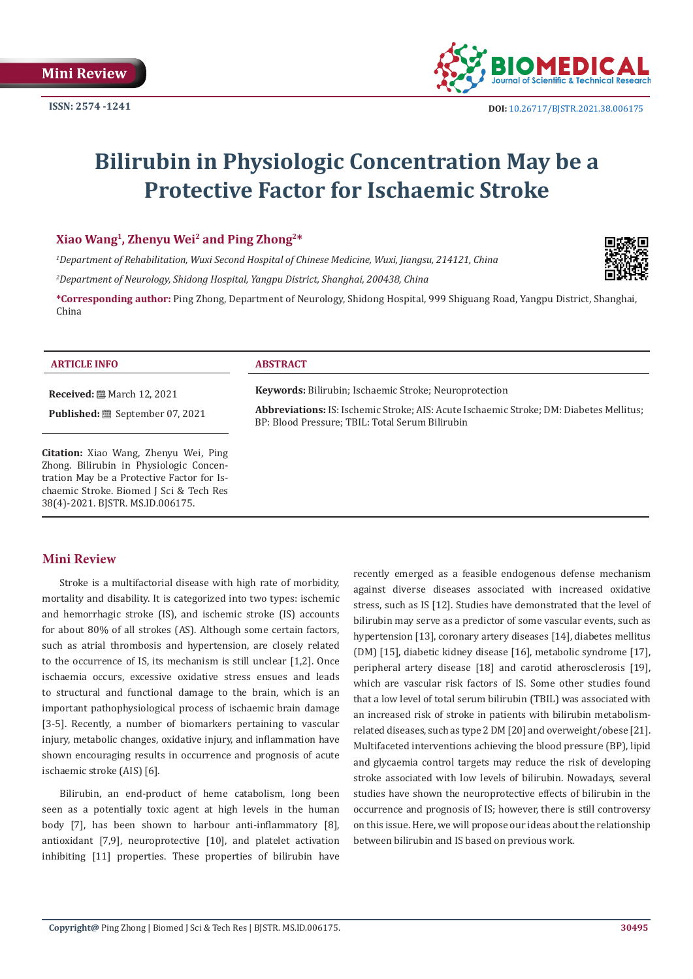

# **Bilirubin in Physiologic Concentration May be a Protective Factor for Ischaemic Stroke**

# **Xiao Wang1, Zhenyu Wei2 and Ping Zhong2\***

*1 Department of Rehabilitation, Wuxi Second Hospital of Chinese Medicine, Wuxi, Jiangsu, 214121, China*

*2 Department of Neurology, Shidong Hospital, Yangpu District, Shanghai, 200438, China*

**\*Corresponding author:** Ping Zhong, Department of Neurology, Shidong Hospital, 999 Shiguang Road, Yangpu District, Shanghai, China

## **ARTICLE INFO ABSTRACT**

**Received:** March 12, 2021

**Published:** September 07, 2021

**Citation:** Xiao Wang, Zhenyu Wei, Ping Zhong. Bilirubin in Physiologic Concentration May be a Protective Factor for Ischaemic Stroke. Biomed J Sci & Tech Res 38(4)-2021. BJSTR. MS.ID.006175.

**Keywords:** Bilirubin; Ischaemic Stroke; Neuroprotection

**Abbreviations:** IS: Ischemic Stroke; AIS: Acute Ischaemic Stroke; DM: Diabetes Mellitus; BP: Blood Pressure; TBIL: Total Serum Bilirubin

# **Mini Review**

Stroke is a multifactorial disease with high rate of morbidity, mortality and disability. It is categorized into two types: ischemic and hemorrhagic stroke (IS), and ischemic stroke (IS) accounts for about 80% of all strokes (AS). Although some certain factors, such as atrial thrombosis and hypertension, are closely related to the occurrence of IS, its mechanism is still unclear [1,2]. Once ischaemia occurs, excessive oxidative stress ensues and leads to structural and functional damage to the brain, which is an important pathophysiological process of ischaemic brain damage [3-5]. Recently, a number of biomarkers pertaining to vascular injury, metabolic changes, oxidative injury, and inflammation have shown encouraging results in occurrence and prognosis of acute ischaemic stroke (AIS) [6].

Bilirubin, an end-product of heme catabolism, long been seen as a potentially toxic agent at high levels in the human body [7], has been shown to harbour anti-inflammatory [8], antioxidant [7,9], neuroprotective [10], and platelet activation inhibiting [11] properties. These properties of bilirubin have

recently emerged as a feasible endogenous defense mechanism against diverse diseases associated with increased oxidative stress, such as IS [12]. Studies have demonstrated that the level of bilirubin may serve as a predictor of some vascular events, such as hypertension [13], coronary artery diseases [14], diabetes mellitus (DM) [15], diabetic kidney disease [16], metabolic syndrome [17], peripheral artery disease [18] and carotid atherosclerosis [19], which are vascular risk factors of IS. Some other studies found that a low level of total serum bilirubin (TBIL) was associated with an increased risk of stroke in patients with bilirubin metabolismrelated diseases, such as type 2 DM [20] and overweight/obese [21]. Multifaceted interventions achieving the blood pressure (BP), lipid and glycaemia control targets may reduce the risk of developing stroke associated with low levels of bilirubin. Nowadays, several studies have shown the neuroprotective effects of bilirubin in the occurrence and prognosis of IS; however, there is still controversy on this issue. Here, we will propose our ideas about the relationship between bilirubin and IS based on previous work.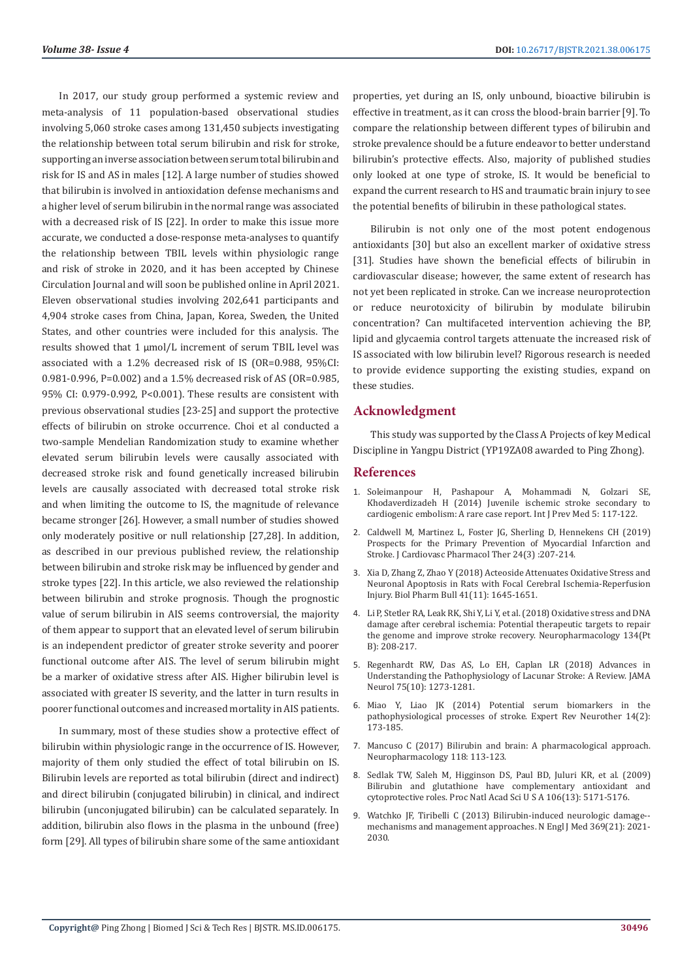In 2017, our study group performed a systemic review and meta-analysis of 11 population-based observational studies involving 5,060 stroke cases among 131,450 subjects investigating the relationship between total serum bilirubin and risk for stroke, supporting an inverse association between serum total bilirubin and risk for IS and AS in males [12]. A large number of studies showed that bilirubin is involved in antioxidation defense mechanisms and a higher level of serum bilirubin in the normal range was associated with a decreased risk of IS [22]. In order to make this issue more accurate, we conducted a dose-response meta-analyses to quantify the relationship between TBIL levels within physiologic range and risk of stroke in 2020, and it has been accepted by Chinese Circulation Journal and will soon be published online in April 2021. Eleven observational studies involving 202,641 participants and 4,904 stroke cases from China, Japan, Korea, Sweden, the United States, and other countries were included for this analysis. The results showed that 1 µmol/L increment of serum TBIL level was associated with a 1.2% decreased risk of IS (OR=0.988, 95%CI: 0.981-0.996, P=0.002) and a 1.5% decreased risk of AS (OR=0.985, 95% CI: 0.979-0.992, P<0.001). These results are consistent with previous observational studies [23-25] and support the protective effects of bilirubin on stroke occurrence. Choi et al conducted a two-sample Mendelian Randomization study to examine whether elevated serum bilirubin levels were causally associated with decreased stroke risk and found genetically increased bilirubin levels are causally associated with decreased total stroke risk and when limiting the outcome to IS, the magnitude of relevance became stronger [26]. However, a small number of studies showed only moderately positive or null relationship [27,28]. In addition, as described in our previous published review, the relationship between bilirubin and stroke risk may be influenced by gender and stroke types [22]. In this article, we also reviewed the relationship between bilirubin and stroke prognosis. Though the prognostic value of serum bilirubin in AIS seems controversial, the majority of them appear to support that an elevated level of serum bilirubin is an independent predictor of greater stroke severity and poorer functional outcome after AIS. The level of serum bilirubin might be a marker of oxidative stress after AIS. Higher bilirubin level is associated with greater IS severity, and the latter in turn results in poorer functional outcomes and increased mortality in AIS patients.

In summary, most of these studies show a protective effect of bilirubin within physiologic range in the occurrence of IS. However, majority of them only studied the effect of total bilirubin on IS. Bilirubin levels are reported as total bilirubin (direct and indirect) and direct bilirubin (conjugated bilirubin) in clinical, and indirect bilirubin (unconjugated bilirubin) can be calculated separately. In addition, bilirubin also flows in the plasma in the unbound (free) form [29]. All types of bilirubin share some of the same antioxidant

properties, yet during an IS, only unbound, bioactive bilirubin is effective in treatment, as it can cross the blood-brain barrier [9]. To compare the relationship between different types of bilirubin and stroke prevalence should be a future endeavor to better understand bilirubin's protective effects. Also, majority of published studies only looked at one type of stroke, IS. It would be beneficial to expand the current research to HS and traumatic brain injury to see the potential benefits of bilirubin in these pathological states.

Bilirubin is not only one of the most potent endogenous antioxidants [30] but also an excellent marker of oxidative stress [31]. Studies have shown the beneficial effects of bilirubin in cardiovascular disease; however, the same extent of research has not yet been replicated in stroke. Can we increase neuroprotection or reduce neurotoxicity of bilirubin by modulate bilirubin concentration? Can multifaceted intervention achieving the BP, lipid and glycaemia control targets attenuate the increased risk of IS associated with low bilirubin level? Rigorous research is needed to provide evidence supporting the existing studies, expand on these studies.

# **Acknowledgment**

This study was supported by the Class A Projects of key Medical Discipline in Yangpu District (YP19ZA08 awarded to Ping Zhong).

## **References**

- 1. [Soleimanpour H, Pashapour A, Mohammadi N, Golzari SE,](https://pubmed.ncbi.nlm.nih.gov/24555001/) [Khodaverdizadeh H \(2014\) Juvenile ischemic stroke secondary to](https://pubmed.ncbi.nlm.nih.gov/24555001/) [cardiogenic embolism: A rare case report. Int J Prev Med 5: 117-122.](https://pubmed.ncbi.nlm.nih.gov/24555001/)
- 2. [Caldwell M, Martinez L, Foster JG, Sherling D, Hennekens CH \(2019\)](https://pubmed.ncbi.nlm.nih.gov/30563358/) [Prospects for the Primary Prevention of Myocardial Infarction and](https://pubmed.ncbi.nlm.nih.gov/30563358/) [Stroke. J Cardiovasc Pharmacol Ther 24\(3\) :207-214.](https://pubmed.ncbi.nlm.nih.gov/30563358/)
- 3. [Xia D, Zhang Z, Zhao Y \(2018\) Acteoside Attenuates Oxidative Stress and](https://pubmed.ncbi.nlm.nih.gov/30381663/) [Neuronal Apoptosis in Rats with Focal Cerebral Ischemia-Reperfusion](https://pubmed.ncbi.nlm.nih.gov/30381663/) [Injury. Biol Pharm Bull 41\(11\): 1645-1651.](https://pubmed.ncbi.nlm.nih.gov/30381663/)
- 4. [Li P, Stetler RA, Leak RK, Shi Y, Li Y, et al. \(2018\) Oxidative stress and DNA](https://pubmed.ncbi.nlm.nih.gov/29128308/) [damage after cerebral ischemia: Potential therapeutic targets to repair](https://pubmed.ncbi.nlm.nih.gov/29128308/) [the genome and improve stroke recovery. Neuropharmacology 134\(Pt](https://pubmed.ncbi.nlm.nih.gov/29128308/) [B\): 208-217.](https://pubmed.ncbi.nlm.nih.gov/29128308/)
- 5. [Regenhardt RW, Das AS, Lo EH, Caplan LR \(2018\) Advances in](https://pubmed.ncbi.nlm.nih.gov/30167649/) [Understanding the Pathophysiology of Lacunar Stroke: A Review. JAMA](https://pubmed.ncbi.nlm.nih.gov/30167649/) [Neurol 75\(10\): 1273-1281.](https://pubmed.ncbi.nlm.nih.gov/30167649/)
- 6. Miao Y, Liao JK (2014) Potential serum biomarkers in the pathophysiological processes of stroke. Expert Rev Neurother 14(2): 173-185.
- 7. [Mancuso C \(2017\) Bilirubin and brain: A pharmacological approach.](https://pubmed.ncbi.nlm.nih.gov/28315352/) [Neuropharmacology 118: 113-123.](https://pubmed.ncbi.nlm.nih.gov/28315352/)
- 8. [Sedlak TW, Saleh M, Higginson DS, Paul BD, Juluri KR, et al. \(2009\)](https://pubmed.ncbi.nlm.nih.gov/19286972/) [Bilirubin and glutathione have complementary antioxidant and](https://pubmed.ncbi.nlm.nih.gov/19286972/) [cytoprotective roles. Proc Natl Acad Sci U S A 106\(13\): 5171-5176.](https://pubmed.ncbi.nlm.nih.gov/19286972/)
- 9. [Watchko JF, Tiribelli C \(2013\) Bilirubin-induced neurologic damage-](https://pubmed.ncbi.nlm.nih.gov/24256380/) [mechanisms and management approaches. N Engl J Med 369\(21\): 2021-](https://pubmed.ncbi.nlm.nih.gov/24256380/) [2030.](https://pubmed.ncbi.nlm.nih.gov/24256380/)